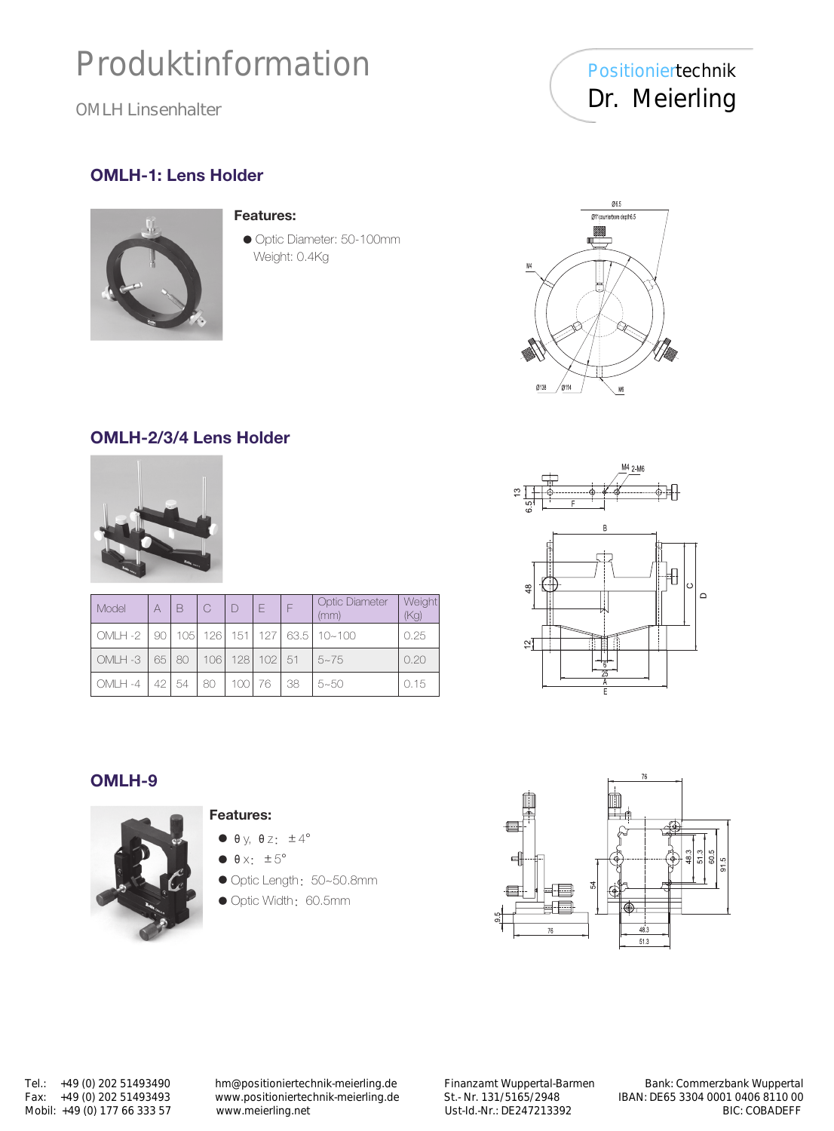# Produktinformation

OMLH Linsenhalter

Positioniertechnik Dr. Meierling

## OMLH-1: Lens Holder



#### Features:

● Optic Diameter: 50-100mm Weight: 0.4Kg



## OMLH-2/3/4 Lens Holder



| Model    | A     | B    | $\overline{C}$ | $\Box$ | F                    | F   | <b>Optic Diameter</b><br>(mm)         | Weight<br>(Kg) |
|----------|-------|------|----------------|--------|----------------------|-----|---------------------------------------|----------------|
| OMLH-2   | 901   |      |                |        |                      |     | 105   126   151   127   63.5   10~100 | 0.25           |
| OMLH-3   | 651   | 80   |                |        | 106   128   102   51 |     | $5 - 75$                              | 0.20           |
| $OMH -4$ | -42 L | 154. | 80             | 100 76 |                      | -38 | $5 - 50$                              | 0.15           |



### OMLH-9



#### Features:

- $\bullet$  θy, θz:  $±4^{\circ}$
- $\bullet$   $\theta$  x:  $\pm 5^{\circ}$
- Optic Length: 50~50.8mm
- Optic Width: 60.5mm



Mobil: +49 (0) 177 66 333 57

Tel.: +49 (0) 202 51493490 hm@positioniertechnik-meierling.de Finanzamt Wuppertal-Barmen Bank: Commerzbank Wuppertal<br>Fax: +49 (0) 202 51493493 www.positioniertechnik-meierling.de St.- Nr. 131/5165/2948 IBAN: DE65 3304 0001 Fax: +49 (0) 202 51493493 www.positioniertechnik-meierling.de St.- Nr. 131/5165/2948 IBAN: DE65 3304 0001 0406 8110 00